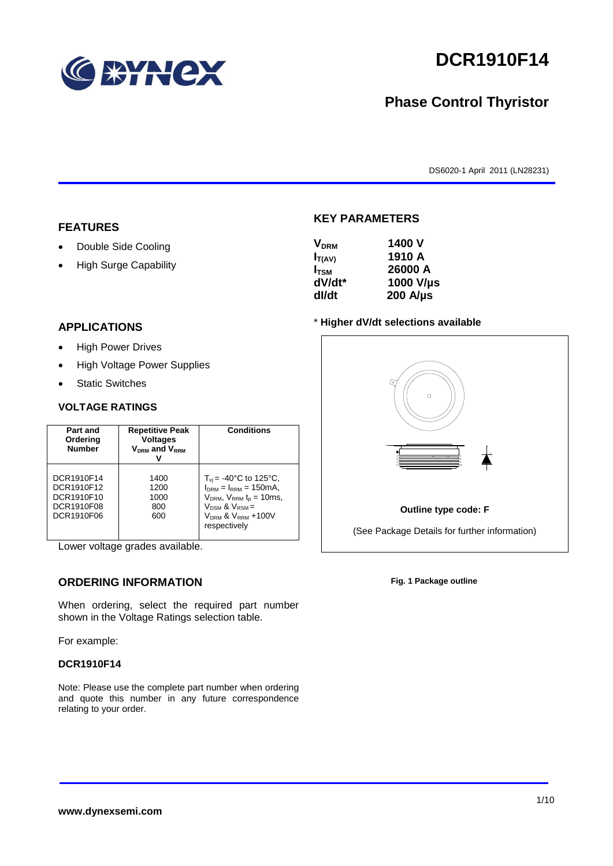

# **DCR1910F14**

# **Phase Control Thyristor**

DS6020-1 April 2011 (LN28231)

#### **FEATURES**

- Double Side Cooling
- High Surge Capability

#### **APPLICATIONS**

- High Power Drives
- High Voltage Power Supplies
- Static Switches

#### **VOLTAGE RATINGS**

| Part and<br>Ordering<br><b>Number</b>                              | <b>Repetitive Peak</b><br><b>Voltages</b><br>$V_{DRM}$ and $V_{RRM}$ | <b>Conditions</b>                                                                                                                                                                                      |
|--------------------------------------------------------------------|----------------------------------------------------------------------|--------------------------------------------------------------------------------------------------------------------------------------------------------------------------------------------------------|
| DCR1910F14<br>DCR1910F12<br>DCR1910F10<br>DCR1910F08<br>DCR1910F06 | 1400<br>1200<br>1000<br>800<br>600                                   | $T_{\rm vi}$ = -40°C to 125°C,<br>$I_{DRM} = I_{RRM} = 150 \text{mA}$<br>$V_{DRM}$ , $V_{RRM}$ $t_{p}$ = 10ms,<br>$V_{DSM}$ & $V_{RSM}$ =<br>V <sub>DRM</sub> & V <sub>RRM</sub> +100V<br>respectively |

Lower voltage grades available.

### **ORDERING INFORMATION**

When ordering, select the required part number shown in the Voltage Ratings selection table.

For example:

#### **DCR1910F14**

Note: Please use the complete part number when ordering and quote this number in any future correspondence relating to your order.

### **KEY PARAMETERS**

| <b>V</b> <sub>DRM</sub> | 1400 V           |
|-------------------------|------------------|
| $I_{T(AV)}$             | 1910 A           |
| $I_{\text{TSM}}$        | 26000 A          |
| dV/dt*                  | 1000 V/µs        |
| dl/dt                   | $200$ A/ $\mu$ s |

#### \* **Higher dV/dt selections available**



**Fig. 1 Package outline**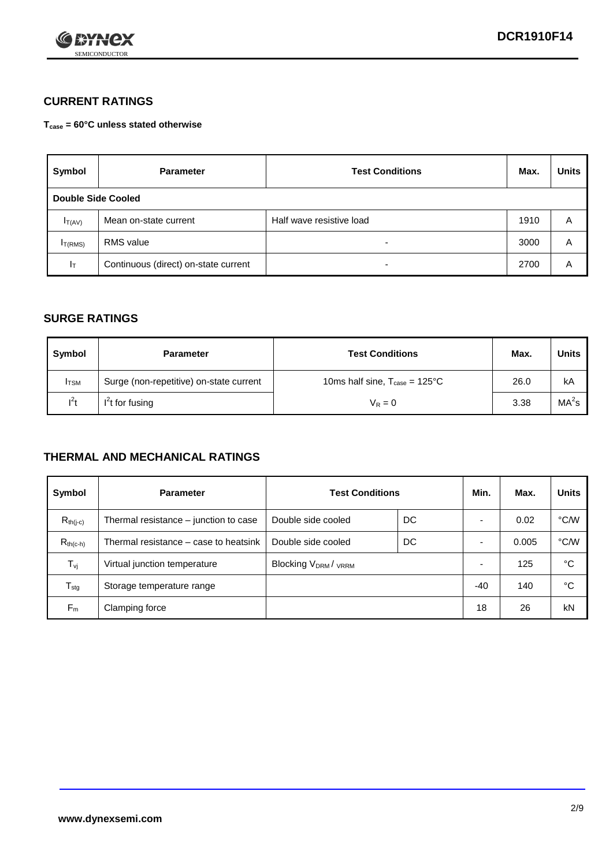

### **CURRENT RATINGS**

**Tcase = 60°C unless stated otherwise**

| Symbol             | <b>Parameter</b>                     | <b>Test Conditions</b>   |      | <b>Units</b> |  |
|--------------------|--------------------------------------|--------------------------|------|--------------|--|
| Double Side Cooled |                                      |                          |      |              |  |
| $I_{T(AV)}$        | Mean on-state current                | Half wave resistive load | 1910 | Α            |  |
| $I_{T(RMS)}$       | <b>RMS</b> value                     | $\overline{\phantom{0}}$ | 3000 | Α            |  |
| Iт                 | Continuous (direct) on-state current | $\overline{\phantom{0}}$ | 2700 | Α            |  |

#### **SURGE RATINGS**

| Symbol       | <b>Parameter</b>                        | <b>Test Conditions</b>                           | Max. | <b>Units</b>      |
|--------------|-----------------------------------------|--------------------------------------------------|------|-------------------|
| <b>I</b> TSM | Surge (non-repetitive) on-state current | 10ms half sine, $T_{\text{case}} = 125^{\circ}C$ | 26.0 | kA                |
| $l^2t$       | I <sup>2</sup> t for fusing             | $V_R = 0$                                        | 3.38 | MA <sup>2</sup> S |

### **THERMAL AND MECHANICAL RATINGS**

| Symbol           | <b>Parameter</b>                      | <b>Test Conditions</b>                      |    | Min.  | Max.  | <b>Units</b> |
|------------------|---------------------------------------|---------------------------------------------|----|-------|-------|--------------|
| $R_{th(j-c)}$    | Thermal resistance – junction to case | Double side cooled                          | DC |       | 0.02  | °C/W         |
| $R_{th(c-h)}$    | Thermal resistance – case to heatsink | Double side cooled                          | DC |       | 0.005 | °C/W         |
| $T_{\nu j}$      | Virtual junction temperature          | Blocking V <sub>DRM</sub> / <sub>VRRM</sub> |    |       | 125   | °C           |
| $T_{\text{stg}}$ | Storage temperature range             |                                             |    | $-40$ | 140   | °C           |
| $F_m$            | Clamping force                        |                                             |    | 18    | 26    | kN           |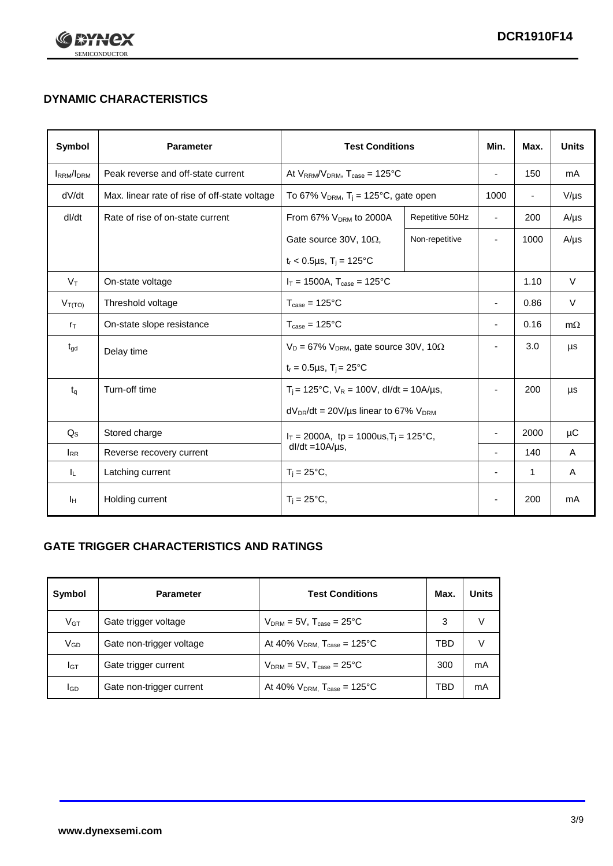

## **DYNAMIC CHARACTERISTICS**

| Symbol            | <b>Parameter</b>                              | <b>Test Conditions</b>                                                |                 | Min.                     | Max.                     | <b>Units</b> |
|-------------------|-----------------------------------------------|-----------------------------------------------------------------------|-----------------|--------------------------|--------------------------|--------------|
| <b>IRRM</b> /IDRM | Peak reverse and off-state current            | At $V_{RRM}/V_{DRM}$ , $T_{case} = 125$ °C                            |                 | $\blacksquare$           | 150                      | mA           |
| dV/dt             | Max. linear rate of rise of off-state voltage | To 67% $V_{DRM}$ , T <sub>i</sub> = 125°C, gate open                  |                 | 1000                     | $\overline{\phantom{a}}$ | $V/\mu s$    |
| dl/dt             | Rate of rise of on-state current              | From 67% V <sub>DRM</sub> to 2000A                                    | Repetitive 50Hz | $\overline{\phantom{0}}$ | 200                      | $A/\mu s$    |
|                   |                                               | Gate source 30V, 10 $\Omega$ ,                                        | Non-repetitive  | $\overline{\phantom{a}}$ | 1000                     | $A/\mu s$    |
|                   |                                               | $t_r$ < 0.5µs, T <sub>i</sub> = 125°C                                 |                 |                          |                          |              |
| $V_T$             | On-state voltage                              | $I_T = 1500A$ , $T_{case} = 125^{\circ}C$                             |                 |                          | 1.10                     | V            |
| $V_{T(TO)}$       | Threshold voltage                             | $T_{\text{case}} = 125^{\circ}C$                                      |                 | $\blacksquare$           | 0.86                     | $\vee$       |
| $r_{\text{T}}$    | On-state slope resistance                     | $T_{\text{case}} = 125^{\circ}C$                                      |                 | $\overline{a}$           | 0.16                     | $m\Omega$    |
| $t_{\rm gd}$      | Delay time                                    | $V_D = 67\%$ V <sub>DRM</sub> , gate source 30V, 10 $\Omega$          |                 | -                        | 3.0                      | μs           |
|                   |                                               | $t_r = 0.5 \mu s$ , $T_i = 25^{\circ}C$                               |                 |                          |                          |              |
| $t_{q}$           | Turn-off time                                 | $T_i$ = 125°C, $V_R$ = 100V, dl/dt = 10A/µs,                          |                 | $\overline{\phantom{a}}$ | 200                      | μs           |
|                   |                                               | $dV_{DR}/dt = 20V/\mu s$ linear to 67% $V_{DRM}$                      |                 |                          |                          |              |
| $Q_{\rm S}$       | Stored charge                                 | $I_T = 2000A$ , tp = 1000us, $T_i = 125$ °C,<br>$dl/dt = 10A/\mu s$ , |                 |                          | 2000                     | μC           |
| $I_{RR}$          | Reverse recovery current                      |                                                                       |                 |                          | 140                      | A            |
| IL.               | Latching current                              | $T_i = 25^{\circ}C,$                                                  |                 | $\overline{\phantom{a}}$ | $\mathbf{1}$             | Α            |
| Iн                | Holding current                               | $T_i = 25^{\circ}C,$                                                  |                 |                          | 200                      | mA           |

### **GATE TRIGGER CHARACTERISTICS AND RATINGS**

| Symbol          | <b>Parameter</b>         | <b>Test Conditions</b>                    | Max. | <b>Units</b> |
|-----------------|--------------------------|-------------------------------------------|------|--------------|
| V <sub>GT</sub> | Gate trigger voltage     | $V_{DRM}$ = 5V, $T_{case}$ = 25°C         | 3    |              |
| $V_{GD}$        | Gate non-trigger voltage | At 40% $V_{DRM}$ , $T_{case}$ = 125°C     | TBD  |              |
| Iст             | Gate trigger current     | $V_{DRM} = 5V$ , $T_{case} = 25^{\circ}C$ | 300  | mA           |
| <b>I</b> GD     | Gate non-trigger current | At 40% $V_{DRM}$ , $T_{case}$ = 125°C     | TBD  | mA           |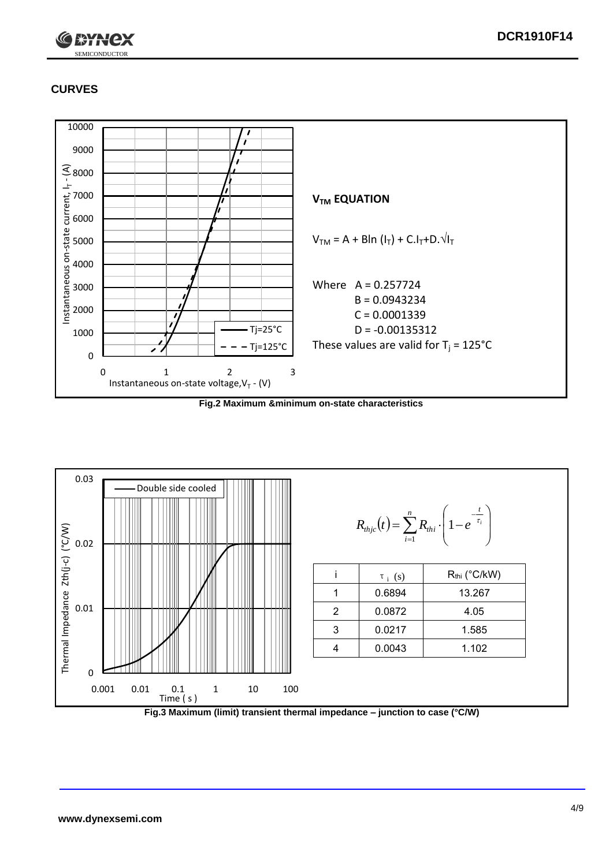

### **CURVES**



**Fig.2 Maximum &minimum on-state characteristics**



**Fig.3 Maximum (limit) transient thermal impedance – junction to case (°C/W)**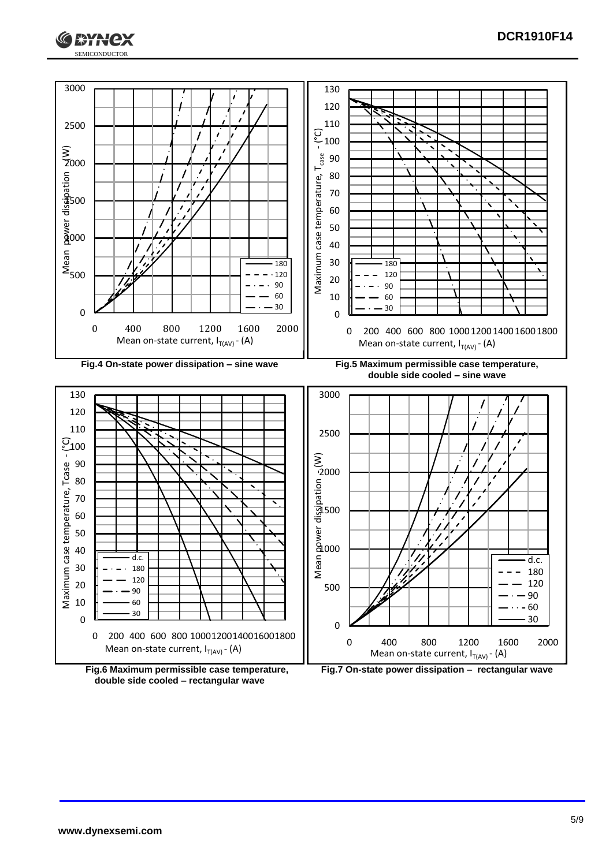



**double side cooled – rectangular wave**

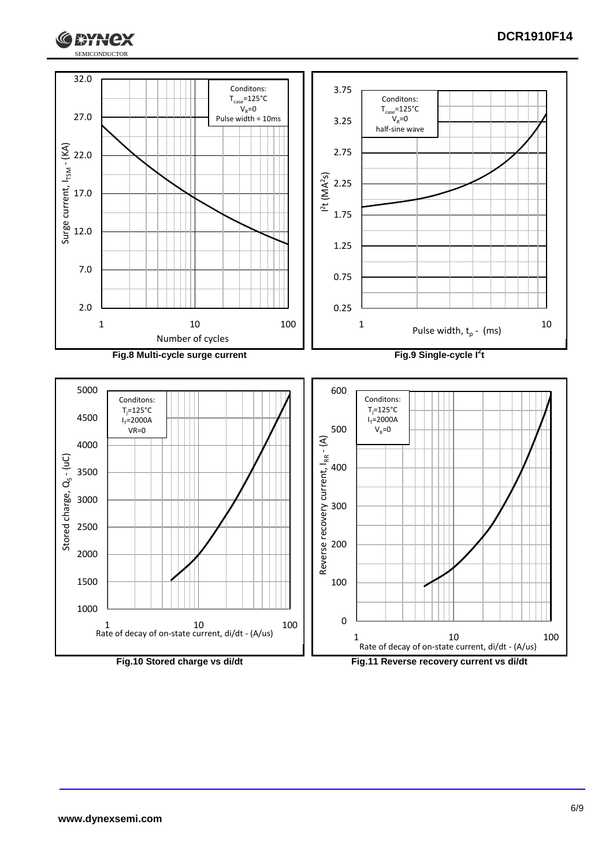



SEMICONDUCTOR

{ex

**XXY**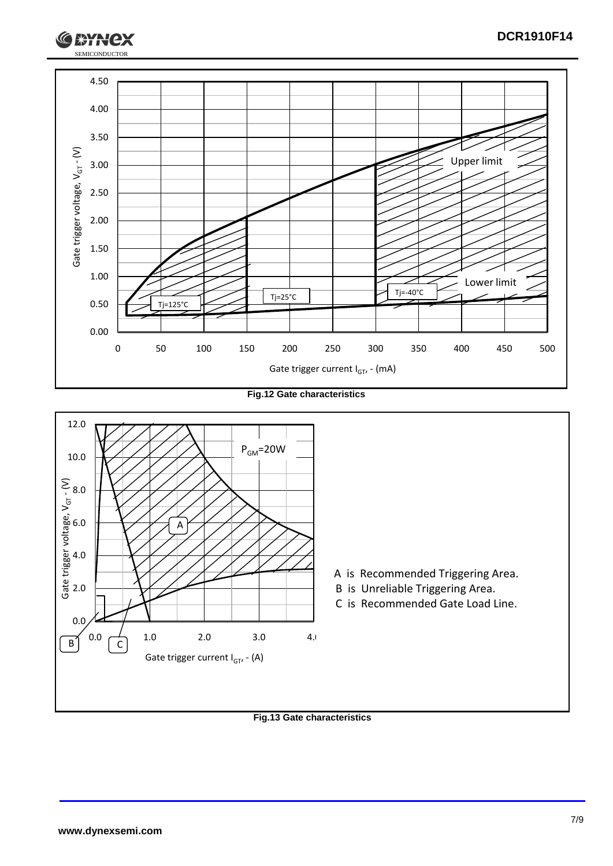

**Fig.12 Gate characteristics**



#### **Fig.13 Gate characteristics**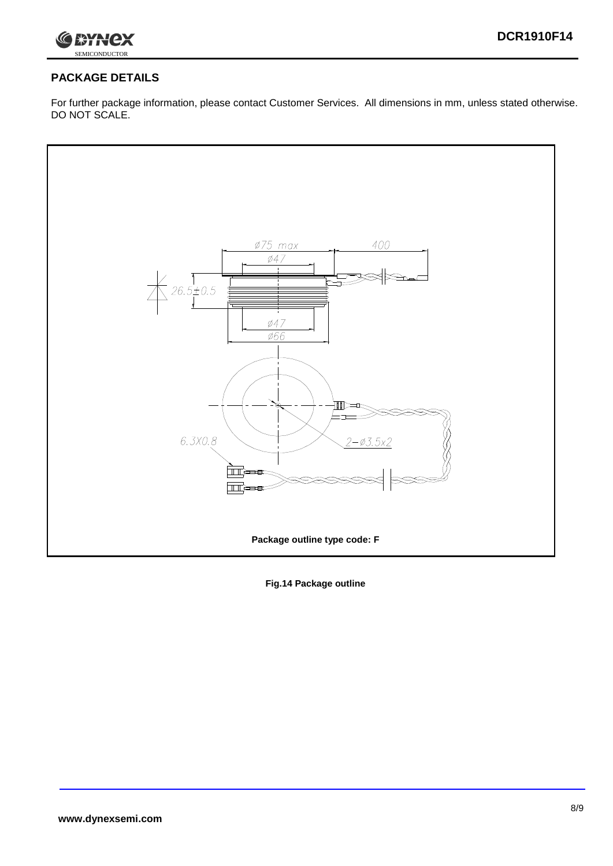

### **PACKAGE DETAILS**

For further package information, please contact Customer Services. All dimensions in mm, unless stated otherwise. DO NOT SCALE.



**Fig.14 Package outline**